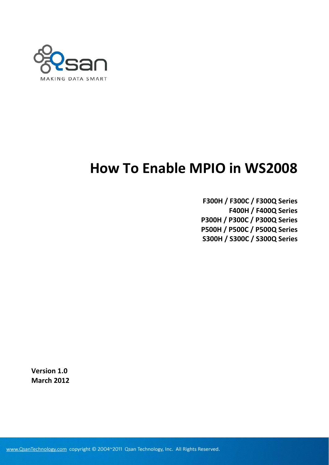

# **How To Enable MPIO in WS2008**

**F300H / F300C / F300Q Series F400H / F400Q Series P300H / P300C / P300Q Series P500H / P500C / P500Q Series S300H / S300C / S300Q Series**

**Version 1.0 March 2012**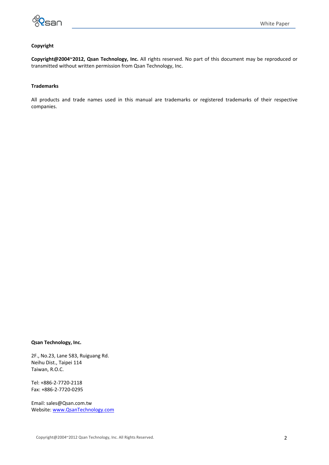

#### **Copyright**

**Copyright@2004~2012, Qsan Technology, Inc.** All rights reserved. No part of this document may be reproduced or transmitted without written permission from Qsan Technology, Inc.

#### **Trademarks**

All products and trade names used in this manual are trademarks or registered trademarks of their respective companies.

#### **Qsan Technology, Inc.**

2F., No.23, Lane 583, Ruiguang Rd. Neihu Dist., Taipei 114 Taiwan, R.O.C.

Tel: +886‐2‐7720‐2118 Fax: +886‐2‐7720‐0295

Email: sales@Qsan.com.tw Website: [www.QsanTechnology.com](http://www.qsantechnology.com/)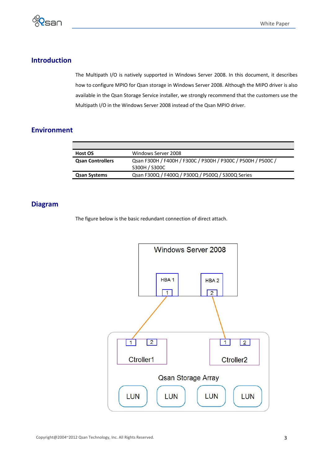

## **Introduction**

The Multipath I/O is natively supported in Windows Server 2008. In this document, it describes how to configure MPIO for Qsan storage in Windows Server 2008. Although the MIPO driver is also available in the Qsan Storage Service installer, we strongly recommend that the customers use the Multipath I/O in the Windows Server 2008 instead of the Qsan MPIO driver.

## **Environment**

| Host OS                 | Windows Server 2008                                          |
|-------------------------|--------------------------------------------------------------|
| <b>Qsan Controllers</b> | Qsan F300H / F400H / F300C / P300H / P300C / P500H / P500C / |
|                         | S300H / S300C                                                |
| <b>Qsan Systems</b>     | Qsan F300Q / F400Q / P300Q / P500Q / S300Q Series            |
|                         |                                                              |

## **Diagram**

The figure below is the basic redundant connection of direct attach.

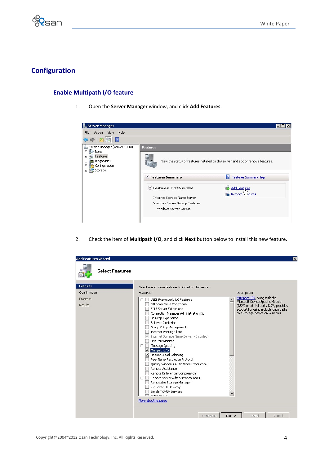

# **Configuration**

## **Enable Multipath I/O feature**

1. Open the **Server Manager** window, and click **Add Features**.



2. Check the item of **Multipath I/O**, and click **Next** button below to install this new feature.

|                                                                                                                                                                                                                                                                                                                                                                                                                                                                                                                                                                                                                                                                                                                                                                                                                                    | $\overline{\mathbf{x}}$                                                                                                                                                                                                            |
|------------------------------------------------------------------------------------------------------------------------------------------------------------------------------------------------------------------------------------------------------------------------------------------------------------------------------------------------------------------------------------------------------------------------------------------------------------------------------------------------------------------------------------------------------------------------------------------------------------------------------------------------------------------------------------------------------------------------------------------------------------------------------------------------------------------------------------|------------------------------------------------------------------------------------------------------------------------------------------------------------------------------------------------------------------------------------|
|                                                                                                                                                                                                                                                                                                                                                                                                                                                                                                                                                                                                                                                                                                                                                                                                                                    |                                                                                                                                                                                                                                    |
| Select one or more features to install on this server.<br>Features:<br>.NET Framework 3.0 Features<br>$\overline{+}$<br>BitLocker Drive Encryption<br><b>BITS Server Extensions</b><br>Connection Manager Administration Kit<br>Desktop Experience<br>Failover Clustering<br>Group Policy Management<br><b>Internet Printing Client</b><br>Internet Storage Name Server (Installed)<br><b>LPR Port Monitor</b><br>Message Queuing<br>$\overline{+}$<br>Multipath I/O<br>रिते Network Load Balancing<br>Peer Name Resolution Protocol<br>Quality Windows Audio Video Experience<br>Remote Assistance<br>Remote Differential Compression<br>Remote Server Administration Tools<br>$\overline{+}$<br>Removable Storage Manager<br>RPC over HTTP Proxy<br>Simple TCP/IP Services<br>CMTD Contor<br>More about features<br>$<$ Previous | Description:<br>Multipath I/O, along with the<br>Microsoft Device Specific Module<br>(DSM) or a third-party DSM, provides<br>support for using multiple data paths<br>to a storage device on Windows.<br>Next<br>Install<br>Cancel |
|                                                                                                                                                                                                                                                                                                                                                                                                                                                                                                                                                                                                                                                                                                                                                                                                                                    |                                                                                                                                                                                                                                    |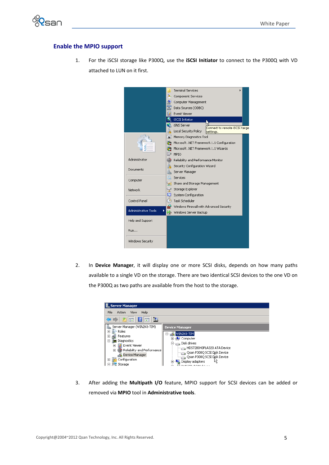

#### **Enable the MPIO support**

1. For the iSCSI storage like P300Q, use the **iSCSI Initiator** to connect to the P300Q with VD attached to LUN on it first.



2. In **Device Manager**, it will display one or more SCSI disks, depends on how many paths available to a single VD on the storage. There are two identical SCSI devices to the one VD on the P300Q as two paths are available from the host to the storage.



3. After adding the **Multipath I/O** feature, MPIO support for SCSI devices can be added or removed via **MPIO** tool in **Administrative tools**.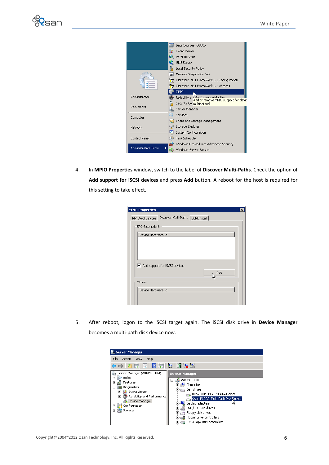



4. In **MPIO Properties** window, switch to the label of **Discover Multi‐Paths**. Check the option of **Add support for iSCSI devices** and press **Add** button. A reboot for the host is required for this setting to take effect.

| <b>MPIO Properties</b>        |  |
|-------------------------------|--|
|                               |  |
| SPC-3 compliant               |  |
| Device Hardware Id            |  |
|                               |  |
|                               |  |
| Add support for iSCSI devices |  |
| Add                           |  |
| Others                        |  |
| Device Hardware Id            |  |
|                               |  |
|                               |  |

5. After reboot, logon to the iSCSI target again. The iSCSI disk drive in **Device Manager** becomes a multi‐path disk device now.

| <b>Server Manager</b>                                                                                                                                                                                                                                            |                                                                                                                                                                                                                                                                                   |
|------------------------------------------------------------------------------------------------------------------------------------------------------------------------------------------------------------------------------------------------------------------|-----------------------------------------------------------------------------------------------------------------------------------------------------------------------------------------------------------------------------------------------------------------------------------|
| File<br>Action<br>Help<br>View                                                                                                                                                                                                                                   |                                                                                                                                                                                                                                                                                   |
| 扁<br>請<br>圖                                                                                                                                                                                                                                                      | <b>DY 15</b>                                                                                                                                                                                                                                                                      |
| Server Manager (WIN2K8-TIM)<br>Roles<br>曱<br>Features<br>$\overline{+}$<br>Diagnostics<br>$\overline{ }$<br>Event Viewer<br>$\overline{+}$<br>Reliability and Performance<br>$\overline{+}$<br>Device Manager<br>Configuration<br>圧<br>$\overline{+}$<br>Storage | <b>Device Manager</b><br>WIN2K8-TIM<br>Ξ<br>Computer<br>Disk drives<br>HDS728040PLA320 ATA Device<br>Qsan P300Q Multi-Path Disk Device<br>Display adapters<br>DVD/CD-ROM drives<br>$\overline{+}$<br>Floppy disk drives<br>⊞<br>e<br>볾 Floppy drive controllers<br>$\overline{+}$ |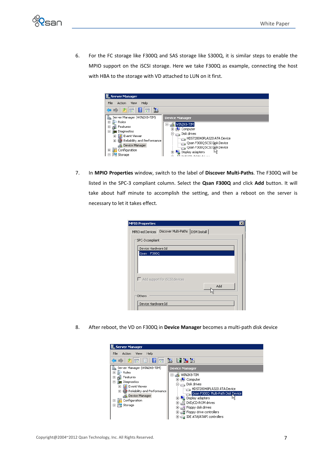

6. For the FC storage like F300Q and SAS storage like S300Q, it is similar steps to enable the MPIO support on the iSCSI storage. Here we take F300Q as example, connecting the host with HBA to the storage with VD attached to LUN on it first.

| <b>Server Manager</b>                                                                                                                                        |                                                                                                                               |
|--------------------------------------------------------------------------------------------------------------------------------------------------------------|-------------------------------------------------------------------------------------------------------------------------------|
| File<br>Help<br>Action<br>View                                                                                                                               |                                                                                                                               |
| 方品 7品区                                                                                                                                                       |                                                                                                                               |
| Server Manager (WIN2K8-TIM)<br>論                                                                                                                             | <b>Device Manager</b>                                                                                                         |
| Roles<br>$\overline{+}$<br>Features<br>$\overline{+}$<br>Diagnostics<br>冃<br>Event Viewer<br>$\overline{+}$<br>Reliability and Performance<br>$\overline{+}$ | WIN2K8-TIM<br>8<br>Computer<br>$\overline{+}$<br>Disk drives<br>E-a<br>HDS728040PLA320 ATA Device                             |
| Device Manager<br>Configuration<br>$\overline{+}$<br>Storage                                                                                                 | Qsan F300Q SCSI Dişk Device يتشين<br>Qsan F300Q SCSI Disk Device بمستنا<br>Display adapters<br>⊞…l<br>partners in our data as |

7. In **MPIO Properties** window, switch to the label of **Discover Multi‐Paths**. The F300Q will be listed in the SPC‐3 compliant column. Select the **Qsan F300Q** and click **Add** button. It will take about half minute to accomplish the setting, and then a reboot on the server is necessary to let it takes effect.

| MPIO-ed Devices    | Discover Multi-Paths<br>DSM Install |  |
|--------------------|-------------------------------------|--|
| SPC-3 compliant    |                                     |  |
| Device Hardware Id |                                     |  |
| Qsan<br>F300Q      |                                     |  |
|                    |                                     |  |
|                    |                                     |  |
|                    |                                     |  |
|                    | Add support for ISCSI devices       |  |
|                    | Add                                 |  |
|                    |                                     |  |
| Others             |                                     |  |

8. After reboot, the VD on F300Q in **Device Manager** becomes a multi‐path disk device

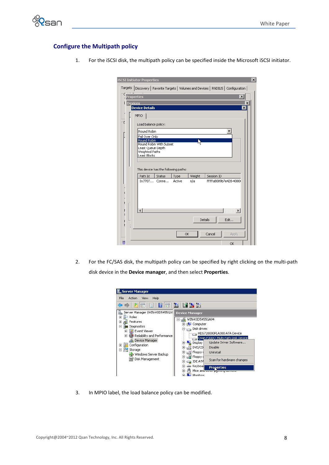

#### **Configure the Multipath policy**

|                        | <b>iSCSI Initiator Properties</b>    |        |           |        |                |                                                                             | $\overline{\mathsf{x}}$ |
|------------------------|--------------------------------------|--------|-----------|--------|----------------|-----------------------------------------------------------------------------|-------------------------|
| Targets                |                                      |        |           |        |                | Discovery   Favorite Targets   Volumes and Devices   RADIUS   Configuration |                         |
| C<br><b>Properties</b> |                                      |        |           |        |                | $\vert x \vert$                                                             |                         |
| <b>Devices</b><br>I    |                                      |        |           |        |                |                                                                             | ×                       |
|                        | <b>Device Details</b>                |        |           |        |                | $\overline{\mathbf{x}}$                                                     |                         |
|                        | MPIO                                 |        |           |        |                |                                                                             |                         |
| C                      | Load balance policy:                 |        |           |        |                |                                                                             |                         |
|                        | Round Robin                          |        |           |        |                |                                                                             |                         |
|                        | Fail Over Only<br>Round Robin        |        |           |        |                |                                                                             |                         |
|                        | Round Robin With Subset              |        |           |        |                |                                                                             |                         |
|                        | Least Queue Depth<br>Weighted Paths  |        |           |        |                |                                                                             |                         |
|                        | Least Blocks                         |        |           |        |                |                                                                             |                         |
|                        |                                      |        |           |        |                |                                                                             |                         |
|                        | This device has the following paths: |        |           |        |                |                                                                             |                         |
|                        | Path Id                              | Status | Type      | Weight | Session ID     |                                                                             |                         |
|                        | 0x7707 Conne                         |        | Active    | n/a    |                | fffffa8009b7e428-4000                                                       |                         |
|                        |                                      |        |           |        |                |                                                                             |                         |
|                        |                                      |        |           |        |                |                                                                             |                         |
|                        |                                      |        |           |        |                |                                                                             |                         |
|                        |                                      |        |           |        |                | $\blacktriangleright$                                                       |                         |
|                        |                                      |        |           |        | <b>Details</b> | Edit                                                                        |                         |
|                        |                                      |        |           |        |                |                                                                             |                         |
|                        |                                      |        |           |        |                |                                                                             |                         |
|                        |                                      |        | <b>OK</b> |        | Cancel         | Apply                                                                       |                         |
| ₫                      |                                      |        |           |        |                | OK                                                                          |                         |

1. For the iSCSI disk, the multipath policy can be specified inside the Microsoft iSCSI initiator.

2. For the FC/SAS disk, the multipath policy can be specified by right clicking on the multi-path disk device in the **Device manager**, and then select **Properties**.



3. In MPIO label, the load balance policy can be modified.